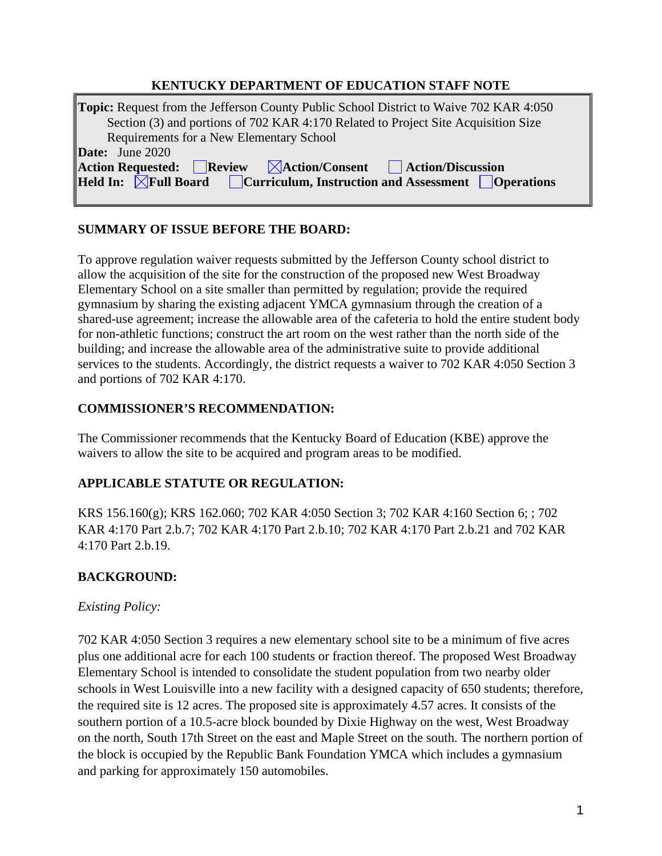### **KENTUCKY DEPARTMENT OF EDUCATION STAFF NOTE**

| <b>Topic:</b> Request from the Jefferson County Public School District to Waive 702 KAR 4:050                                                                                                    |
|--------------------------------------------------------------------------------------------------------------------------------------------------------------------------------------------------|
| Section (3) and portions of 702 KAR 4:170 Related to Project Site Acquisition Size                                                                                                               |
| Requirements for a New Elementary School                                                                                                                                                         |
| <b>Date:</b> June $2020$                                                                                                                                                                         |
| $\Delta$ Action Requested: Review $\boxtimes$ Action/Consent Action/Discussion                                                                                                                   |
| <b>Held In:</b> $\boxed{\phantom{\text{a}}\mathbb{X}}$ Full Board $\boxed{\phantom{\text{b}}\mathbb{C}}$ urriculum, Instruction and Assessment $\boxed{\phantom{\text{b}}\mathbb{O}}$ Operations |
|                                                                                                                                                                                                  |

#### **SUMMARY OF ISSUE BEFORE THE BOARD:**

To approve regulation waiver requests submitted by the Jefferson County school district to allow the acquisition of the site for the construction of the proposed new West Broadway Elementary School on a site smaller than permitted by regulation; provide the required gymnasium by sharing the existing adjacent YMCA gymnasium through the creation of a shared-use agreement; increase the allowable area of the cafeteria to hold the entire student body for non-athletic functions; construct the art room on the west rather than the north side of the building; and increase the allowable area of the administrative suite to provide additional services to the students. Accordingly, the district requests a waiver to 702 KAR 4:050 Section 3 and portions of 702 KAR 4:170.

#### **COMMISSIONER'S RECOMMENDATION:**

The Commissioner recommends that the Kentucky Board of Education (KBE) approve the waivers to allow the site to be acquired and program areas to be modified.

# **APPLICABLE STATUTE OR REGULATION:**

KRS 156.160(g); KRS 162.060; 702 KAR 4:050 Section 3; 702 KAR 4:160 Section 6; ; 702 KAR 4:170 Part 2.b.7; 702 KAR 4:170 Part 2.b.10; 702 KAR 4:170 Part 2.b.21 and 702 KAR 4:170 Part 2.b.19.

# **BACKGROUND:**

# *Existing Policy:*

702 KAR 4:050 Section 3 requires a new elementary school site to be a minimum of five acres plus one additional acre for each 100 students or fraction thereof. The proposed West Broadway Elementary School is intended to consolidate the student population from two nearby older schools in West Louisville into a new facility with a designed capacity of 650 students; therefore, the required site is 12 acres. The proposed site is approximately 4.57 acres. It consists of the southern portion of a 10.5-acre block bounded by Dixie Highway on the west, West Broadway on the north, South 17th Street on the east and Maple Street on the south. The northern portion of the block is occupied by the Republic Bank Foundation YMCA which includes a gymnasium and parking for approximately 150 automobiles.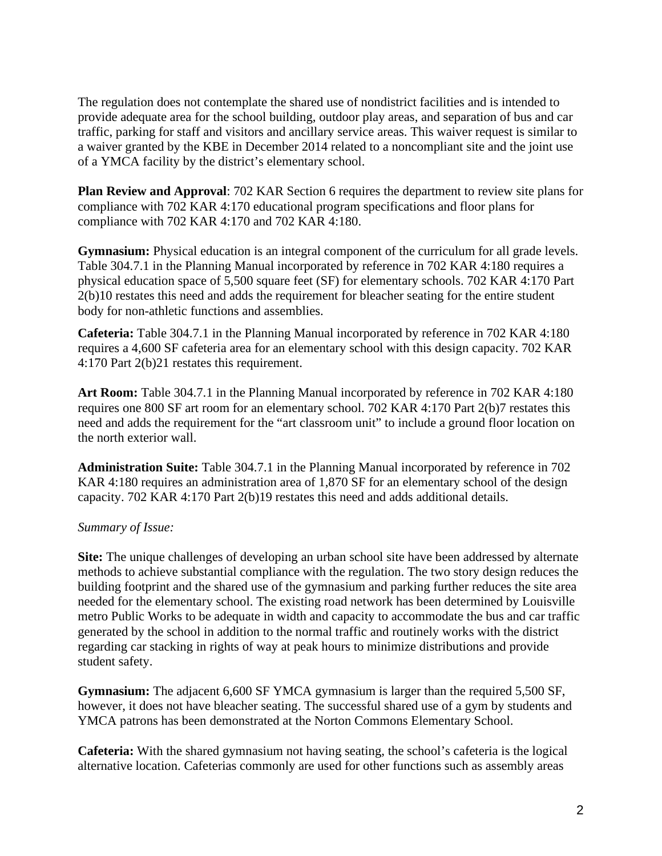The regulation does not contemplate the shared use of nondistrict facilities and is intended to provide adequate area for the school building, outdoor play areas, and separation of bus and car traffic, parking for staff and visitors and ancillary service areas. This waiver request is similar to a waiver granted by the KBE in December 2014 related to a noncompliant site and the joint use of a YMCA facility by the district's elementary school.

**Plan Review and Approval**: 702 KAR Section 6 requires the department to review site plans for compliance with 702 KAR 4:170 educational program specifications and floor plans for compliance with 702 KAR 4:170 and 702 KAR 4:180.

**Gymnasium:** Physical education is an integral component of the curriculum for all grade levels. Table 304.7.1 in the Planning Manual incorporated by reference in 702 KAR 4:180 requires a physical education space of 5,500 square feet (SF) for elementary schools. 702 KAR 4:170 Part 2(b)10 restates this need and adds the requirement for bleacher seating for the entire student body for non-athletic functions and assemblies.

**Cafeteria:** Table 304.7.1 in the Planning Manual incorporated by reference in 702 KAR 4:180 requires a 4,600 SF cafeteria area for an elementary school with this design capacity. 702 KAR 4:170 Part 2(b)21 restates this requirement.

**Art Room:** Table 304.7.1 in the Planning Manual incorporated by reference in 702 KAR 4:180 requires one 800 SF art room for an elementary school. 702 KAR 4:170 Part 2(b)7 restates this need and adds the requirement for the "art classroom unit" to include a ground floor location on the north exterior wall.

**Administration Suite:** Table 304.7.1 in the Planning Manual incorporated by reference in 702 KAR 4:180 requires an administration area of 1,870 SF for an elementary school of the design capacity. 702 KAR 4:170 Part 2(b)19 restates this need and adds additional details.

#### *Summary of Issue:*

**Site:** The unique challenges of developing an urban school site have been addressed by alternate methods to achieve substantial compliance with the regulation. The two story design reduces the building footprint and the shared use of the gymnasium and parking further reduces the site area needed for the elementary school. The existing road network has been determined by Louisville metro Public Works to be adequate in width and capacity to accommodate the bus and car traffic generated by the school in addition to the normal traffic and routinely works with the district regarding car stacking in rights of way at peak hours to minimize distributions and provide student safety.

**Gymnasium:** The adjacent 6,600 SF YMCA gymnasium is larger than the required 5,500 SF, however, it does not have bleacher seating. The successful shared use of a gym by students and YMCA patrons has been demonstrated at the Norton Commons Elementary School.

**Cafeteria:** With the shared gymnasium not having seating, the school's cafeteria is the logical alternative location. Cafeterias commonly are used for other functions such as assembly areas